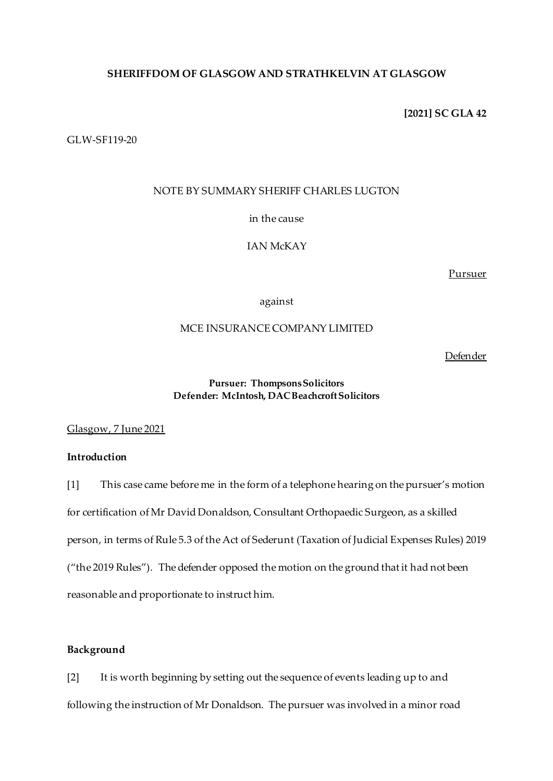# **SHERIFFDOM OF GLASGOW AND STRATHKELVIN AT GLASGOW**

**[2021] SC GLA 42**

GLW-SF119-20

# NOTE BY SUMMARY SHERIFF CHARLES LUGTON

in the cause

IAN McKAY

Pursuer

against

## MCE INSURANCE COMPANY LIMITED

**Defender** 

# **Pursuer: Thompsons Solicitors Defender: McIntosh, DAC Beachcroft Solicitors**

Glasgow, 7 June 2021

# **Introduction**

[1] This case came before me in the form of a telephone hearing on the pursuer's motion for certification of Mr David Donaldson, Consultant Orthopaedic Surgeon, as a skilled person, in terms of Rule 5.3 of the Act of Sederunt (Taxation of Judicial Expenses Rules) 2019 ("the 2019 Rules"). The defender opposed the motion on the ground that it had not been reasonable and proportionate to instruct him.

# **Background**

[2] It is worth beginning by setting out the sequence of events leading up to and following the instruction of Mr Donaldson. The pursuer was involved in a minor road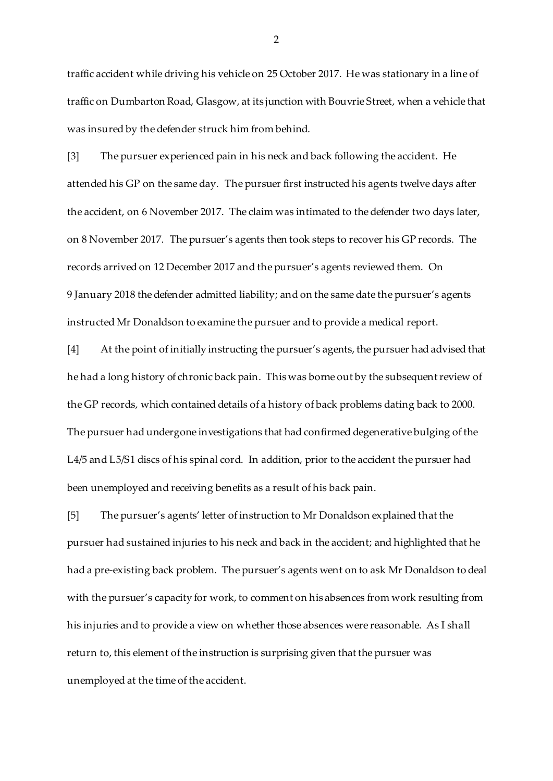traffic accident while driving his vehicle on 25 October 2017. He was stationary in a line of traffic on Dumbarton Road, Glasgow, at its junction with Bouvrie Street, when a vehicle that was insured by the defender struck him from behind.

[3] The pursuer experienced pain in his neck and back following the accident. He attended his GP on the same day. The pursuer first instructed his agents twelve days after the accident, on 6 November 2017. The claim was intimated to the defender two days later, on 8 November 2017. The pursuer's agents then took steps to recover his GP records. The records arrived on 12 December 2017 and the pursuer's agents reviewed them. On 9 January 2018 the defender admitted liability; and on the same date the pursuer's agents instructed Mr Donaldson to examine the pursuer and to provide a medical report.

[4] At the point of initially instructing the pursuer's agents, the pursuer had advised that he had a long history of chronic back pain. This was borne out by the subsequent review of the GP records, which contained details of a history of back problems dating back to 2000. The pursuer had undergone investigations that had confirmed degenerative bulging of the L4/5 and L5/S1 discs of his spinal cord. In addition, prior to the accident the pursuer had been unemployed and receiving benefits as a result of his back pain.

[5] The pursuer's agents' letter of instruction to Mr Donaldson explained that the pursuer had sustained injuries to his neck and back in the accident; and highlighted that he had a pre-existing back problem. The pursuer's agents went on to ask Mr Donaldson to deal with the pursuer's capacity for work, to comment on his absences from work resulting from his injuries and to provide a view on whether those absences were reasonable. As I shall return to, this element of the instruction is surprising given that the pursuer was unemployed at the time of the accident.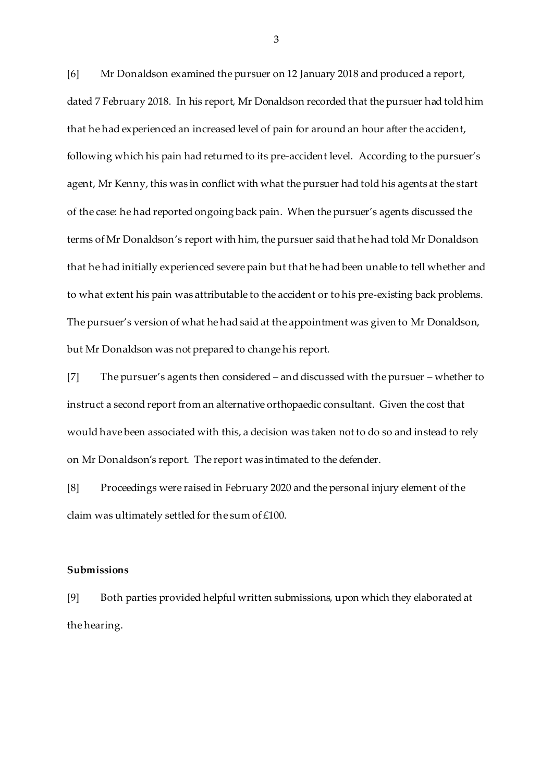[6] Mr Donaldson examined the pursuer on 12 January 2018 and produced a report, dated 7 February 2018. In his report, Mr Donaldson recorded that the pursuer had told him that he had experienced an increased level of pain for around an hour after the accident, following which his pain had returned to its pre-accident level. According to the pursuer's agent, Mr Kenny, this was in conflict with what the pursuer had told his agents at the start of the case: he had reported ongoing back pain. When the pursuer's agents discussed the terms of Mr Donaldson's report with him, the pursuer said that he had told Mr Donaldson that he had initially experienced severe pain but that he had been unable to tell whether and to what extent his pain was attributable to the accident or to his pre-existing back problems. The pursuer's version of what he had said at the appointment was given to Mr Donaldson, but Mr Donaldson was not prepared to change his report.

[7] The pursuer's agents then considered – and discussed with the pursuer – whether to instruct a second report from an alternative orthopaedic consultant. Given the cost that would have been associated with this, a decision was taken not to do so and instead to rely on Mr Donaldson's report. The report was intimated to the defender.

[8] Proceedings were raised in February 2020 and the personal injury element of the claim was ultimately settled for the sum of £100.

#### **Submissions**

[9] Both parties provided helpful written submissions, upon which they elaborated at the hearing.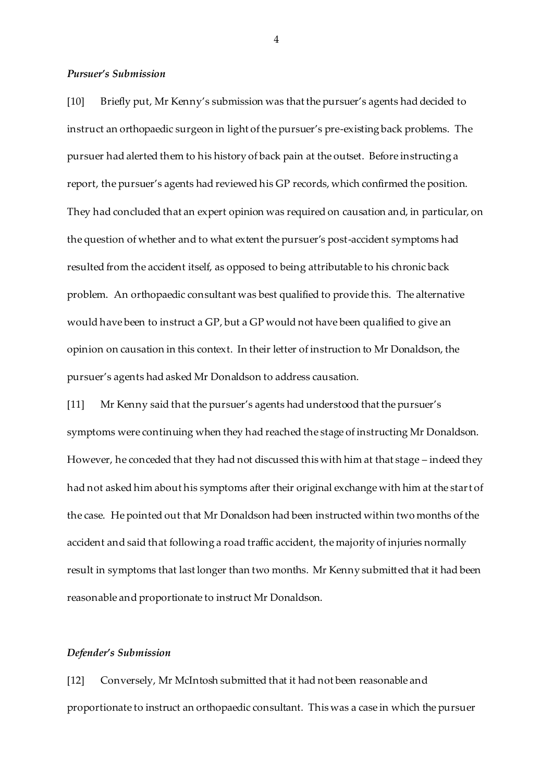## *Pursuer's Submission*

[10] Briefly put, Mr Kenny's submission was that the pursuer's agents had decided to instruct an orthopaedic surgeon in light of the pursuer's pre-existing back problems. The pursuer had alerted them to his history of back pain at the outset. Before instructing a report, the pursuer's agents had reviewed his GP records, which confirmed the position. They had concluded that an expert opinion was required on causation and, in particular, on the question of whether and to what extent the pursuer's post-accident symptoms had resulted from the accident itself, as opposed to being attributable to his chronic back problem. An orthopaedic consultant was best qualified to provide this. The alternative would have been to instruct a GP, but a GP would not have been qualified to give an opinion on causation in this context. In their letter of instruction to Mr Donaldson, the pursuer's agents had asked Mr Donaldson to address causation.

[11] Mr Kenny said that the pursuer's agents had understood that the pursuer's symptoms were continuing when they had reached the stage of instructing Mr Donaldson. However, he conceded that they had not discussed this with him at that stage – indeed they had not asked him about his symptoms after their original exchange with him at the start of the case. He pointed out that Mr Donaldson had been instructed within two months of the accident and said that following a road traffic accident, the majority of injuries normally result in symptoms that last longer than two months. Mr Kenny submitted that it had been reasonable and proportionate to instruct Mr Donaldson.

#### *Defender's Submission*

[12] Conversely, Mr McIntosh submitted that it had not been reasonable and proportionate to instruct an orthopaedic consultant. This was a case in which the pursuer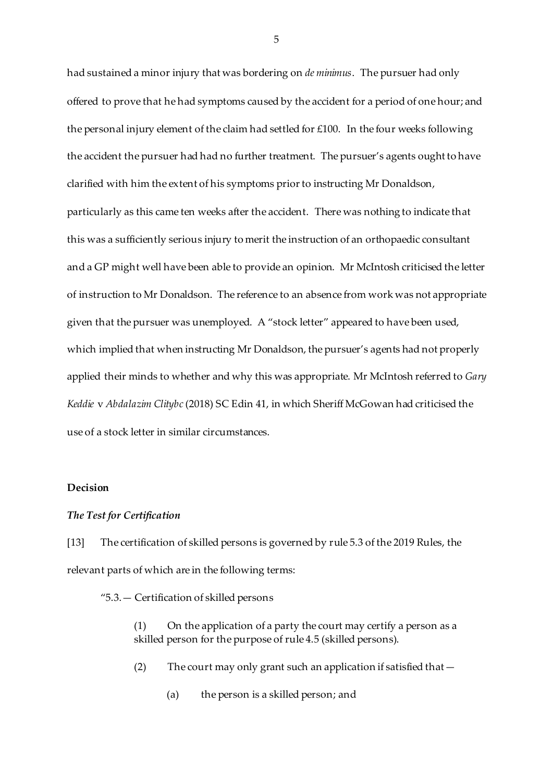had sustained a minor injury that was bordering on *de minimus*. The pursuer had only offered to prove that he had symptoms caused by the accident for a period of one hour; and the personal injury element of the claim had settled for £100. In the four weeks following the accident the pursuer had had no further treatment. The pursuer's agents ought to have clarified with him the extent of his symptoms prior to instructing Mr Donaldson, particularly as this came ten weeks after the accident. There was nothing to indicate that this was a sufficiently serious injury to merit the instruction of an orthopaedic consultant and a GP might well have been able to provide an opinion. Mr McIntosh criticised the letter of instruction to Mr Donaldson. The reference to an absence from work was not appropriate given that the pursuer was unemployed. A "stock letter" appeared to have been used, which implied that when instructing Mr Donaldson, the pursuer's agents had not properly applied their minds to whether and why this was appropriate. Mr McIntosh referred to *Gary Keddie* v *Abdalazim Clitybc* (2018) SC Edin 41, in which Sheriff McGowan had criticised the use of a stock letter in similar circumstances.

## **Decision**

#### *The Test for Certification*

[13] The certification of skilled persons is governed by rule 5.3 of the 2019 Rules, the relevant parts of which are in the following terms:

"5.3.— Certification of skilled persons

(1) On the application of a party the court may certify a person as a skilled person for the purpose o[f rule 4.5](https://uk.westlaw.com/Document/I8B81CFC03ED411E99553EE012D20E710/View/FullText.html?originationContext=document&transitionType=DocumentItem&contextData=(sc.DocLink)) (skilled persons).

(2) The court may only grant such an application if satisfied that—

(a) the person is a skilled person; and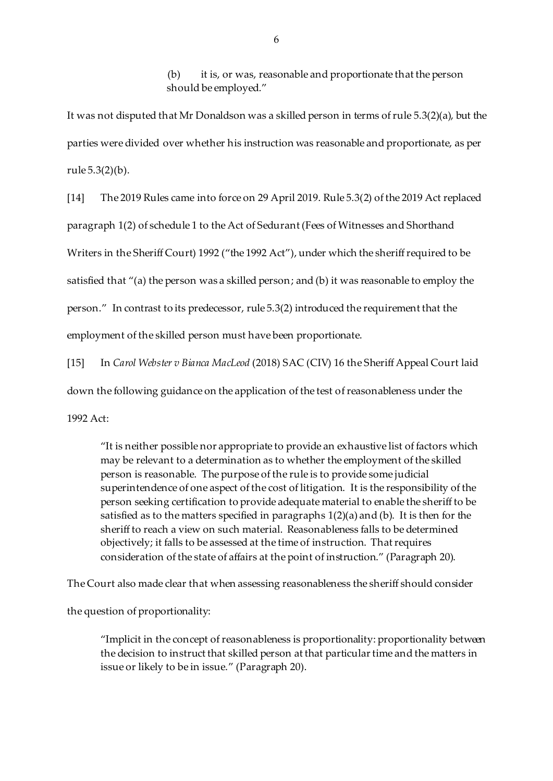(b) it is, or was, reasonable and proportionate that the person should be employed."

It was not disputed that Mr Donaldson was a skilled person in terms of rule 5.3(2)(a), but the parties were divided over whether his instruction was reasonable and proportionate, as per rule 5.3(2)(b).

[14] The 2019 Rules came into force on 29 April 2019. Rule 5.3(2) of the 2019 Act replaced paragraph 1(2) of schedule 1 to the Act of Sedurant (Fees of Witnesses and Shorthand Writers in the Sheriff Court) 1992 ("the 1992 Act"), under which the sheriff required to be satisfied that "(a) the person was a skilled person; and (b) it was reasonable to employ the person." In contrast to its predecessor, rule 5.3(2) introduced the requirement that the employment of the skilled person must have been proportionate.

[15] In *Carol Webster v Bianca MacLeod* (2018) SAC (CIV) 16 the Sheriff Appeal Court laid down the following guidance on the application of the test of reasonableness under the 1992 Act:

"It is neither possible nor appropriate to provide an exhaustive list of factors which may be relevant to a determination as to whether the employment of the skilled person is reasonable. The purpose of the rule is to provide some judicial superintendence of one aspect of the cost of litigation. It is the responsibility of the person seeking certification to provide adequate material to enable the sheriff to be satisfied as to the matters specified in paragraphs 1(2)(a) and (b). It is then for the sheriff to reach a view on such material. Reasonableness falls to be determined objectively; it falls to be assessed at the time of instruction. That requires consideration of the state of affairs at the point of instruction." (Paragraph 20).

The Court also made clear that when assessing reasonableness the sheriff should consider

the question of proportionality:

"Implicit in the concept of reasonableness is proportionality: proportionality between the decision to instruct that skilled person at that particular time and the matters in issue or likely to be in issue." (Paragraph 20).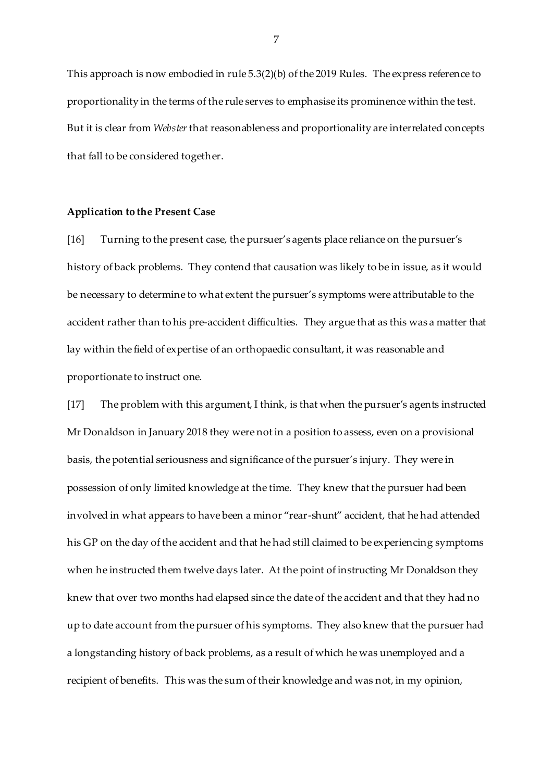This approach is now embodied in rule 5.3(2)(b) of the 2019 Rules. The express reference to proportionality in the terms of the rule serves to emphasise its prominence within the test. But it is clear from *Webster* that reasonableness and proportionality are interrelated concepts that fall to be considered together.

### **Application to the Present Case**

[16] Turning to the present case, the pursuer's agents place reliance on the pursuer's history of back problems. They contend that causation was likely to be in issue, as it would be necessary to determine to what extent the pursuer's symptoms were attributable to the accident rather than to his pre-accident difficulties. They argue that as this was a matter that lay within the field of expertise of an orthopaedic consultant, it was reasonable and proportionate to instruct one.

[17] The problem with this argument, I think, is that when the pursuer's agents instructed Mr Donaldson in January 2018 they were not in a position to assess, even on a provisional basis, the potential seriousness and significance of the pursuer's injury. They were in possession of only limited knowledge at the time. They knew that the pursuer had been involved in what appears to have been a minor "rear-shunt" accident, that he had attended his GP on the day of the accident and that he had still claimed to be experiencing symptoms when he instructed them twelve days later. At the point of instructing Mr Donaldson they knew that over two months had elapsed since the date of the accident and that they had no up to date account from the pursuer of his symptoms. They also knew that the pursuer had a longstanding history of back problems, as a result of which he was unemployed and a recipient of benefits. This was the sum of their knowledge and was not, in my opinion,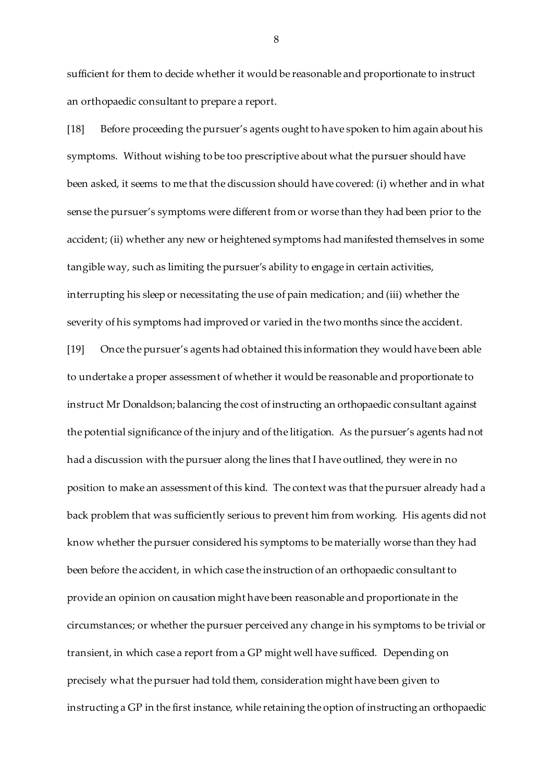sufficient for them to decide whether it would be reasonable and proportionate to instruct an orthopaedic consultant to prepare a report.

[18] Before proceeding the pursuer's agents ought to have spoken to him again about his symptoms. Without wishing to be too prescriptive about what the pursuer should have been asked, it seems to me that the discussion should have covered: (i) whether and in what sense the pursuer's symptoms were different from or worse than they had been prior to the accident; (ii) whether any new or heightened symptoms had manifested themselves in some tangible way, such as limiting the pursuer's ability to engage in certain activities, interrupting his sleep or necessitating the use of pain medication; and (iii) whether the severity of his symptoms had improved or varied in the two months since the accident.

[19] Once the pursuer's agents had obtained this information they would have been able to undertake a proper assessment of whether it would be reasonable and proportionate to instruct Mr Donaldson; balancing the cost of instructing an orthopaedic consultant against the potential significance of the injury and of the litigation. As the pursuer's agents had not had a discussion with the pursuer along the lines that I have outlined, they were in no position to make an assessment of this kind. The context was that the pursuer already had a back problem that was sufficiently serious to prevent him from working. His agents did not know whether the pursuer considered his symptoms to be materially worse than they had been before the accident, in which case the instruction of an orthopaedic consultant to provide an opinion on causation might have been reasonable and proportionate in the circumstances; or whether the pursuer perceived any change in his symptoms to be trivial or transient, in which case a report from a GP might well have sufficed. Depending on precisely what the pursuer had told them, consideration might have been given to instructing a GP in the first instance, while retaining the option of instructing an orthopaedic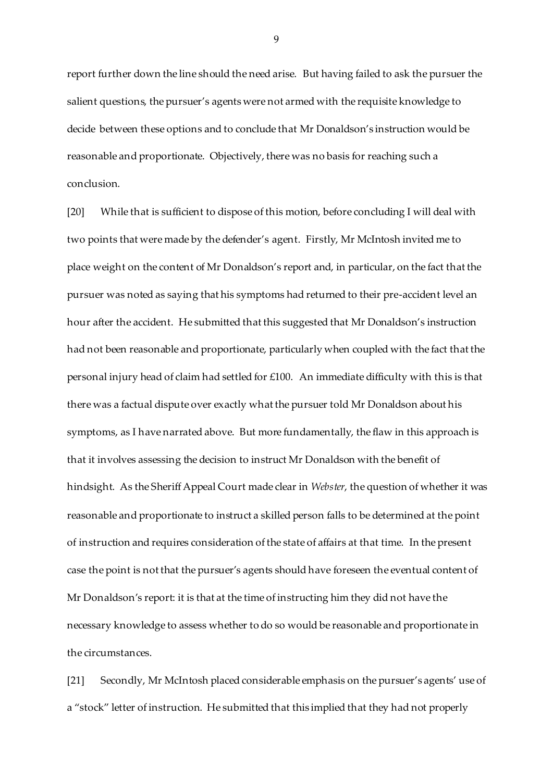report further down the line should the need arise. But having failed to ask the pursuer the salient questions, the pursuer's agents were not armed with the requisite knowledge to decide between these options and to conclude that Mr Donaldson's instruction would be reasonable and proportionate. Objectively, there was no basis for reaching such a conclusion.

[20] While that is sufficient to dispose of this motion, before concluding I will deal with two points that were made by the defender's agent. Firstly, Mr McIntosh invited me to place weight on the content of Mr Donaldson's report and, in particular, on the fact that the pursuer was noted as saying that his symptoms had returned to their pre-accident level an hour after the accident. He submitted that this suggested that Mr Donaldson's instruction had not been reasonable and proportionate, particularly when coupled with the fact that the personal injury head of claim had settled for £100. An immediate difficulty with this is that there was a factual dispute over exactly what the pursuer told Mr Donaldson about his symptoms, as I have narrated above. But more fundamentally, the flaw in this approach is that it involves assessing the decision to instruct Mr Donaldson with the benefit of hindsight. As the Sheriff Appeal Court made clear in *Webster*, the question of whether it was reasonable and proportionate to instruct a skilled person falls to be determined at the point of instruction and requires consideration of the state of affairs at that time. In the present case the point is not that the pursuer's agents should have foreseen the eventual content of Mr Donaldson's report: it is that at the time of instructing him they did not have the necessary knowledge to assess whether to do so would be reasonable and proportionate in the circumstances.

[21] Secondly, Mr McIntosh placed considerable emphasis on the pursuer's agents' use of a "stock" letter of instruction. He submitted that this implied that they had not properly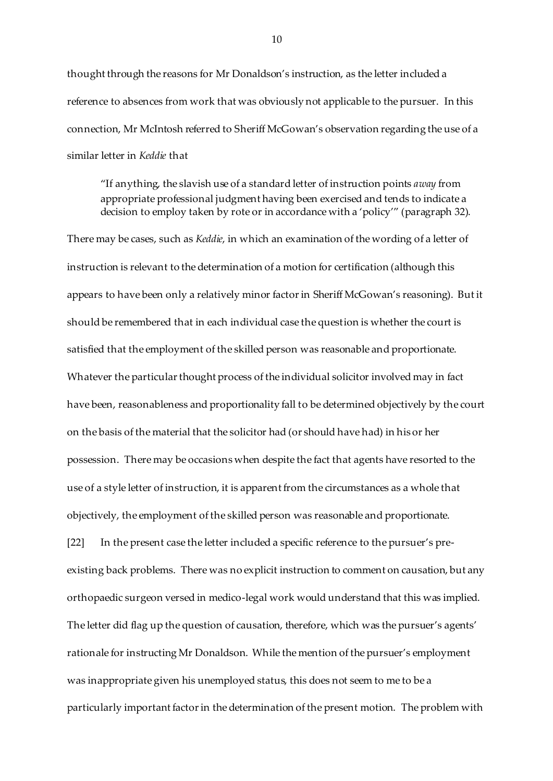thought through the reasons for Mr Donaldson's instruction, as the letter included a reference to absences from work that was obviously not applicable to the pursuer. In this connection, Mr McIntosh referred to Sheriff McGowan's observation regarding the use of a similar letter in *Keddie* that

"If anything, the slavish use of a standard letter of instruction points *away* from appropriate professional judgment having been exercised and tends to indicate a decision to employ taken by rote or in accordance with a 'policy'" (paragraph 32).

There may be cases, such as *Keddie*, in which an examination of the wording of a letter of instruction is relevant to the determination of a motion for certification (although this appears to have been only a relatively minor factor in Sheriff McGowan's reasoning). But it should be remembered that in each individual case the question is whether the court is satisfied that the employment of the skilled person was reasonable and proportionate. Whatever the particular thought process of the individual solicitor involved may in fact have been, reasonableness and proportionality fall to be determined objectively by the court on the basis of the material that the solicitor had (or should have had) in his or her possession. There may be occasions when despite the fact that agents have resorted to the use of a style letter of instruction, it is apparent from the circumstances as a whole that objectively, the employment of the skilled person was reasonable and proportionate.

[22] In the present case the letter included a specific reference to the pursuer's preexisting back problems. There was no explicit instruction to comment on causation, but any orthopaedic surgeon versed in medico-legal work would understand that this was implied. The letter did flag up the question of causation, therefore, which was the pursuer's agents' rationale for instructing Mr Donaldson. While the mention of the pursuer's employment was inappropriate given his unemployed status, this does not seem to me to be a particularly important factor in the determination of the present motion. The problem with